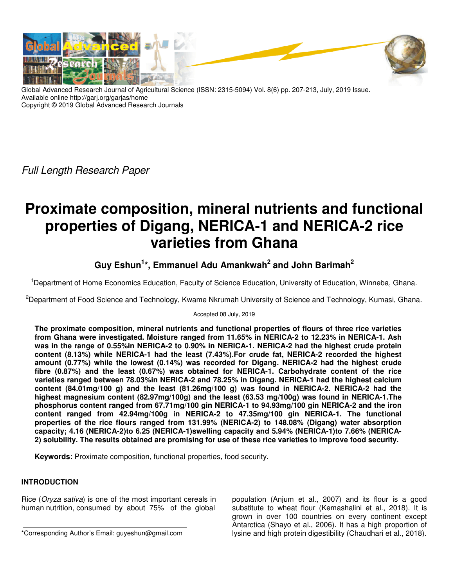

Global Advanced Research Journal of Agricultural Science (ISSN: 2315-5094) Vol. 8(6) pp. 207-213, July, 2019 Issue. Available online http://garj.org/garjas/home Copyright © 2019 Global Advanced Research Journals

Full Length Research Paper

# **Proximate composition, mineral nutrients and functional properties of Digang, NERICA-1 and NERICA-2 rice varieties from Ghana**

## **Guy Eshun<sup>1</sup> \*, Emmanuel Adu Amankwah<sup>2</sup> and John Barimah<sup>2</sup>**

<sup>1</sup>Department of Home Economics Education, Faculty of Science Education, University of Education, Winneba, Ghana.

<sup>2</sup>Department of Food Science and Technology, Kwame Nkrumah University of Science and Technology, Kumasi, Ghana.

### Accepted 08 July, 2019

**The proximate composition, mineral nutrients and functional properties of flours of three rice varieties from Ghana were investigated. Moisture ranged from 11.65% in NERICA-2 to 12.23% in NERICA-1. Ash was in the range of 0.55%in NERICA-2 to 0.90% in NERICA-1. NERICA-2 had the highest crude protein content (8.13%) while NERICA-1 had the least (7.43%).For crude fat, NERICA-2 recorded the highest amount (0.77%) while the lowest (0.14%) was recorded for Digang. NERICA-2 had the highest crude fibre (0.87%) and the least (0.67%) was obtained for NERICA-1. Carbohydrate content of the rice varieties ranged between 78.03%in NERICA-2 and 78.25% in Digang. NERICA-1 had the highest calcium content (84.01mg/100 g) and the least (81.26mg/100 g) was found in NERICA-2. NERICA-2 had the highest magnesium content (82.97mg/100g) and the least (63.53 mg/100g) was found in NERICA-1.The phosphorus content ranged from 67.71mg/100 gin NERICA-1 to 94.93mg/100 gin NERICA-2 and the iron content ranged from 42.94mg/100g in NERICA-2 to 47.35mg/100 gin NERICA-1. The functional properties of the rice flours ranged from 131.99% (NERICA-2) to 148.08% (Digang) water absorption capacity; 4.16 (NERICA-2)to 6.25 (NERICA-1)swelling capacity and 5.94% (NERICA-1)to 7.66% (NERICA-2) solubility. The results obtained are promising for use of these rice varieties to improve food security.** 

**Keywords:** Proximate composition, functional properties, food security.

### **INTRODUCTION**

Rice (Oryza sativa) is one of the most important cereals in human nutrition, consumed by about 75% of the global

\*Corresponding Author's Email: guyeshun@gmail.com

population (Anjum et al., 2007) and its flour is a good substitute to wheat flour (Kemashalini et al., 2018). It is grown in over 100 countries on every continent except Antarctica (Shayo et al., 2006). It has a high proportion of lysine and high protein digestibility (Chaudhari et al., 2018).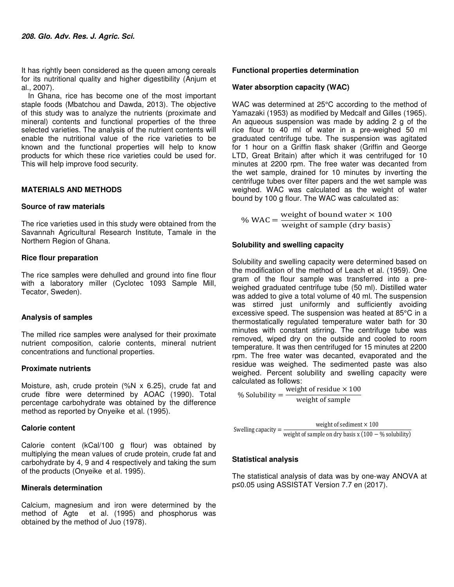It has rightly been considered as the queen among cereals for its nutritional quality and higher digestibility (Anjum et al., 2007).

In Ghana, rice has become one of the most important staple foods (Mbatchou and Dawda, 2013). The objective of this study was to analyze the nutrients (proximate and mineral) contents and functional properties of the three selected varieties. The analysis of the nutrient contents will enable the nutritional value of the rice varieties to be known and the functional properties will help to know products for which these rice varieties could be used for. This will help improve food security.

### **MATERIALS AND METHODS**

### **Source of raw materials**

The rice varieties used in this study were obtained from the Savannah Agricultural Research Institute, Tamale in the Northern Region of Ghana.

### **Rice flour preparation**

The rice samples were dehulled and ground into fine flour with a laboratory miller (Cyclotec 1093 Sample Mill, Tecator, Sweden).

### **Analysis of samples**

The milled rice samples were analysed for their proximate nutrient composition, calorie contents, mineral nutrient concentrations and functional properties.

### **Proximate nutrients**

Moisture, ash, crude protein (%N x 6.25), crude fat and crude fibre were determined by AOAC (1990). Total percentage carbohydrate was obtained by the difference method as reported by Onyeike et al. (1995).

### **Calorie content**

Calorie content (kCal/100 g flour) was obtained by multiplying the mean values of crude protein, crude fat and carbohydrate by 4, 9 and 4 respectively and taking the sum of the products (Onyeike et al. 1995).

### **Minerals determination**

Calcium, magnesium and iron were determined by the method of Agte et al. (1995) and phosphorus was obtained by the method of Juo (1978).

### **Functional properties determination**

### **Water absorption capacity (WAC)**

WAC was determined at 25°C according to the method of Yamazaki (1953) as modified by Medcalf and Gilles (1965). An aqueous suspension was made by adding 2 g of the rice flour to 40 ml of water in a pre-weighed 50 ml graduated centrifuge tube. The suspension was agitated for 1 hour on a Griffin flask shaker (Griffin and George LTD, Great Britain) after which it was centrifuged for 10 minutes at 2200 rpm. The free water was decanted from the wet sample, drained for 10 minutes by inverting the centrifuge tubes over filter papers and the wet sample was weighed. WAC was calculated as the weight of water bound by 100 g flour. The WAC was calculated as:

% WAC =  $\frac{\text{weight of bound water} \times 100}{\text{width of sample (dm basic)}}$ weight of sample (dry basis)

### **Solubility and swelling capacity**

Solubility and swelling capacity were determined based on the modification of the method of Leach et al. (1959). One gram of the flour sample was transferred into a preweighed graduated centrifuge tube (50 ml). Distilled water was added to give a total volume of 40 ml. The suspension was stirred just uniformly and sufficiently avoiding excessive speed. The suspension was heated at 85°C in a thermostatically regulated temperature water bath for 30 minutes with constant stirring. The centrifuge tube was removed, wiped dry on the outside and cooled to room temperature. It was then centrifuged for 15 minutes at 2200 rpm. The free water was decanted, evaporated and the residue was weighed. The sedimented paste was also weighed. Percent solubility and swelling capacity were calculated as follows:

% Solubility = 
$$
\frac{\text{weight of residue} \times 100}{\text{weight of sample}}
$$

$$
Swelling capacity = \frac{\text{weight of sediment} \times 100}{\text{weight of sample on dry basis x (100 - % solubility)}}
$$

### **Statistical analysis**

The statistical analysis of data was by one-way ANOVA at p≤0.05 using ASSISTAT Version 7.7 en (2017).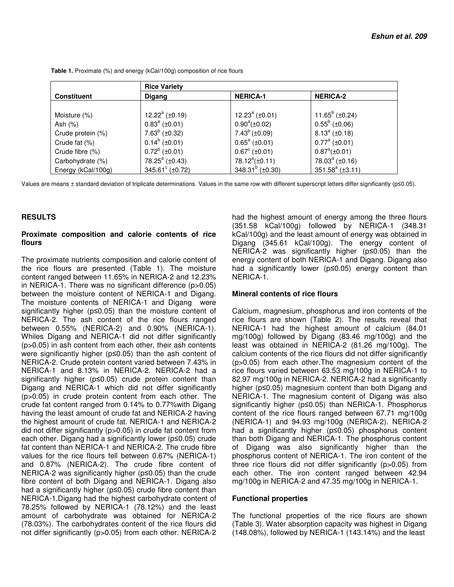|                    | <b>Rice Variety</b>            |                        |                          |
|--------------------|--------------------------------|------------------------|--------------------------|
| <b>Constituent</b> | <b>Digang</b>                  | <b>NERICA-1</b>        | <b>NERICA-2</b>          |
|                    |                                |                        |                          |
| Moisture (%)       | 12.22 $^{\rm a}$ ( $\pm$ 0.19) | 12.23 $^a$ (±0.01)     | 11.65 $^{\circ}$ (±0.24) |
| Ash (%)            | $0.83^a$ (±0.01)               | $0.90^a(\pm 0.02)$     | $0.55^b$ (±0.06)         |
| Crude protein (%)  | $7.63^b$ (±0.32)               | $7.43^b (\pm 0.09)$    | $8.13^a$ (±0.18)         |
| Crude fat (%)      | $0.14^b$ (±0.01)               | $0.65^a$ (±0.01)       | $0.77^a$ (±0.01)         |
| Crude fibre (%)    | $0.72^b$ (±0.01)               | $0.67^{\circ}$ (±0.01) | $0.87^a(\pm 0.01)$       |
| Carbohydrate (%)   | 78.25 $\textdegree$ (±0.43)    | 78.12 $^a(\pm 0.11)$   | 78.03 $^{\circ}$ (±0.16) |
| Energy (kCal/100g) | 345.61 $\textdegree$ (±0.72)   | 348.31 $b$ (±0.30)     | 351.58 $a$ ( $\pm$ 3.11) |

**Table 1.** Proximate (%) and energy (kCal/100g) composition of rice flours

Values are means ± standard deviation of triplicate determinations. Values in the same row with different superscript letters differ significantly (p≤0.05).

### **RESULTS**

### **Proximate composition and calorie contents of rice flours**

The proximate nutrients composition and calorie content of the rice flours are presented (Table 1). The moisture content ranged between 11.65% in NERICA-2 and 12.23% in NERICA-1. There was no significant difference (p>0.05) between the moisture content of NERICA-1 and Digang. The moisture contents of NERICA-1 and Digang were significantly higher (p≤0.05) than the moisture content of NERICA-2. The ash content of the rice flours ranged between 0.55% (NERICA-2) and 0.90% (NERICA-1). Whiles Digang and NERICA-1 did not differ significantly (p>0.05) in ash content from each other, their ash contents were significantly higher (p≤0.05) than the ash content of NERICA-2. Crude protein content varied between 7.43% in NERICA-1 and 8.13% in NERICA-2. NERICA-2 had a significantly higher (p≤0.05) crude protein content than Digang and NERICA-1 which did not differ significantly (p>0.05) in crude protein content from each other. The crude fat content ranged from 0.14% to 0.77%with Digang having the least amount of crude fat and NERICA-2 having the highest amount of crude fat. NERICA-1 and NERICA-2 did not differ significantly (p>0.05) in crude fat content from each other. Digang had a significantly lower (p≤0.05) crude fat content than NERICA-1 and NERICA-2. The crude fibre values for the rice flours fell between 0.67% (NERICA-1) and 0.87% (NERICA-2). The crude fibre content of NERICA-2 was significantly higher (p≤0.05) than the crude fibre content of both Digang and NERICA-1. Digang also had a significantly higher (p≤0.05) crude fibre content than NERICA-1.Digang had the highest carbohydrate content of 78.25% followed by NERICA-1 (78.12%) and the least amount of carbohydrate was obtained for NERICA-2 (78.03%). The carbohydrates content of the rice flours did not differ significantly (p>0.05) from each other. NERICA-2

had the highest amount of energy among the three flours (351.58 kCal/100g) followed by NERICA-1 (348.31 kCal/100g) and the least amount of energy was obtained in Digang (345.61 kCal/100g). The energy content of NERICA-2 was significantly higher (p≤0.05) than the energy content of both NERICA-1 and Digang. Digang also had a significantly lower (p≤0.05) energy content than NERICA-1.

### **Mineral contents of rice flours**

Calcium, magnesium, phosphorus and iron contents of the rice flours are shown (Table 2). The results reveal that NERICA-1 had the highest amount of calcium (84.01 mg/100g) followed by Digang (83.46 mg/100g) and the least was obtained in NERICA-2 (81.26 mg/100g). The calcium contents of the rice flours did not differ significantly (p>0.05) from each other.The magnesium content of the rice flours varied between 63.53 mg/100g in NERICA-1 to 82.97 mg/100g in NERICA-2. NERICA-2 had a significantly higher (p≤0.05) magnesium content than both Digang and NERICA-1. The magnesium content of Digang was also significantly higher (p≤0.05) than NERICA-1. Phosphorus content of the rice flours ranged between 67.71 mg/100g (NERICA-1) and 94.93 mg/100g (NERICA-2). NERICA-2 had a significantly higher (p≤0.05) phosphorus content than both Digang and NERICA-1. The phosphorus content of Digang was also significantly higher than the phosphorus content of NERICA-1. The iron content of the three rice flours did not differ significantly (p>0.05) from each other. The iron content ranged between 42.94 mg/100g in NERICA-2 and 47.35 mg/100g in NERICA-1.

#### **Functional properties**

The functional properties of the rice flours are shown (Table 3). Water absorption capacity was highest in Digang (148.08%), followed by NERICA-1 (143.14%) and the least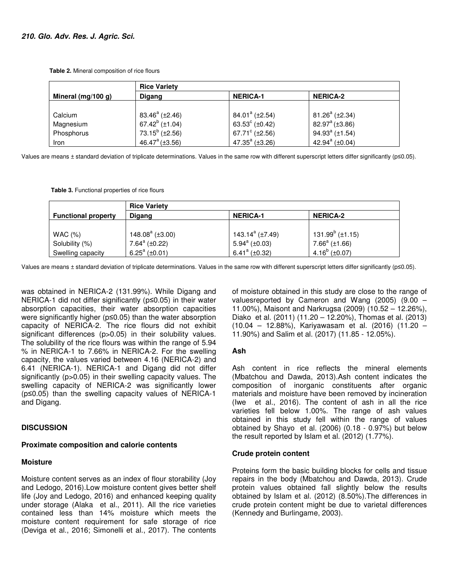**Table 2.** Mineral composition of rice flours

|                    | <b>Rice Variety</b>      |                                    |                             |  |
|--------------------|--------------------------|------------------------------------|-----------------------------|--|
| Mineral (mg/100 g) | Digang                   | <b>NERICA-1</b>                    | <b>NERICA-2</b>             |  |
|                    |                          |                                    |                             |  |
| Calcium            | $83.46^a$ ( $\pm 2.46$ ) | 84.01 <sup>a</sup> ( $\pm$ 2.54)   | $81.26^a$ ( $\pm 2.34$ )    |  |
| Magnesium          | 67.42 $^{\circ}$ (±1.04) | 63.53 $^{\circ}$ ( $\pm$ 0.42)     | 82.97 $a$ ( $\pm$ 3.86)     |  |
| Phosphorus         | 73.15 $b$ (±2.56)        | 67.71 $\textdegree$ ( $\pm 2.56$ ) | 94.93 $^{a}$ ( $\pm$ 1.54)  |  |
| Iron               | $46.47^{\circ}$ (±3.56)  | 47.35 $^{\circ}$ (±3.26)           | 42.94 $\textdegree$ (±0.04) |  |

Values are means ± standard deviation of triplicate determinations. Values in the same row with different superscript letters differ significantly (p≤0.05).

 **Table 3.** Functional properties of rice flours

|                            | <b>Rice Variety</b>        |                                   |                           |
|----------------------------|----------------------------|-----------------------------------|---------------------------|
| <b>Functional property</b> | Digang                     | <b>NERICA-1</b>                   | <b>NERICA-2</b>           |
|                            |                            |                                   |                           |
| WAC (%)                    | 148.08 $^{\circ}$ (±3.00)  | 143.14 <sup>a</sup> ( $\pm$ 7.49) | 131.99 $^{b}$ (±1.15)     |
| Solubility (%)             | 7.64 $\textdegree$ (±0.22) | $5.94^a (\pm 0.03)$               | $7.66^a$ (±1.66)          |
| Swelling capacity          | 6.25 $^{\circ}$ (±0.01)    | 6.41 <sup>a</sup> (±0.32)         | 4.16 <sup>b</sup> (±0.07) |

Values are means ± standard deviation of triplicate determinations. Values in the same row with different superscript letters differ significantly (p≤0.05).

was obtained in NERICA-2 (131.99%). While Digang and NERICA-1 did not differ significantly (p≤0.05) in their water absorption capacities, their water absorption capacities were significantly higher (p≤0.05) than the water absorption capacity of NERICA-2. The rice flours did not exhibit significant differences (p>0.05) in their solubility values. The solubility of the rice flours was within the range of 5.94 % in NERICA-1 to 7.66% in NERICA-2. For the swelling capacity, the values varied between 4.16 (NERICA-2) and 6.41 (NERICA-1). NERICA-1 and Digang did not differ significantly (p>0.05) in their swelling capacity values. The swelling capacity of NERICA-2 was significantly lower (p≤0.05) than the swelling capacity values of NERICA-1 and Digang.

### **DISCUSSION**

### **Proximate composition and calorie contents**

### **Moisture**

Moisture content serves as an index of flour storability (Joy and Ledogo, 2016).Low moisture content gives better shelf life (Joy and Ledogo, 2016) and enhanced keeping quality under storage (Alaka et al., 2011). All the rice varieties contained less than 14% moisture which meets the moisture content requirement for safe storage of rice (Deviga et al., 2016; Simonelli et al., 2017). The contents

of moisture obtained in this study are close to the range of valuesreported by Cameron and Wang (2005) (9.00 – 11.00%), Maisont and Narkrugsa (2009) (10.52 – 12.26%), Diako et al. (2011) (11.20 – 12.20%), Thomas et al. (2013) (10.04 – 12.88%), Kariyawasam et al. (2016) (11.20 – 11.90%) and Salim et al. (2017) (11.85 - 12.05%).

### **Ash**

Ash content in rice reflects the mineral elements (Mbatchou and Dawda, 2013).Ash content indicates the composition of inorganic constituents after organic materials and moisture have been removed by incineration (Iwe et al., 2016). The content of ash in all the rice varieties fell below 1.00%. The range of ash values obtained in this study fell within the range of values obtained by Shayo et al. (2006) (0.18 - 0.97%) but below the result reported by Islam et al. (2012) (1.77%).

### **Crude protein content**

Proteins form the basic building blocks for cells and tissue repairs in the body (Mbatchou and Dawda, 2013). Crude protein values obtained fall slightly below the results obtained by Islam et al. (2012) (8.50%).The differences in crude protein content might be due to varietal differences (Kennedy and Burlingame, 2003).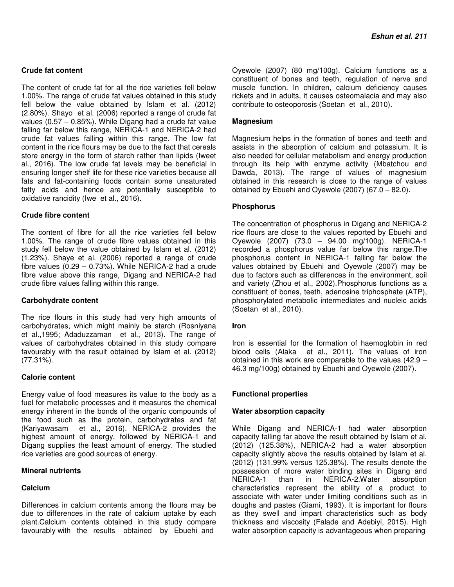### **Crude fat content**

The content of crude fat for all the rice varieties fell below 1.00%. The range of crude fat values obtained in this study fell below the value obtained by Islam et al. (2012) (2.80%). Shayo et al. (2006) reported a range of crude fat values (0.57 – 0.85%). While Digang had a crude fat value falling far below this range, NERICA-1 and NERICA-2 had crude fat values falling within this range. The low fat content in the rice flours may be due to the fact that cereals store energy in the form of starch rather than lipids (Iweet al., 2016). The low crude fat levels may be beneficial in ensuring longer shelf life for these rice varieties because all fats and fat-containing foods contain some unsaturated fatty acids and hence are potentially susceptible to oxidative rancidity (Iwe et al., 2016).

#### **Crude fibre content**

The content of fibre for all the rice varieties fell below 1.00%. The range of crude fibre values obtained in this study fell below the value obtained by Islam et al. (2012) (1.23%). Shaye et al. (2006) reported a range of crude fibre values (0.29 – 0.73%). While NERICA-2 had a crude fibre value above this range, Digang and NERICA-2 had crude fibre values falling within this range.

#### **Carbohydrate content**

The rice flours in this study had very high amounts of carbohydrates, which might mainly be starch (Rosniyana et al.,1995; Adaduzzaman et al., 2013). The range of values of carbohydrates obtained in this study compare favourably with the result obtained by Islam et al. (2012) (77.31%).

### **Calorie content**

Energy value of food measures its value to the body as a fuel for metabolic processes and it measures the chemical energy inherent in the bonds of the organic compounds of the food such as the protein, carbohydrates and fat (Kariyawasam et al., 2016). NERICA-2 provides the highest amount of energy, followed by NERICA-1 and Digang supplies the least amount of energy. The studied rice varieties are good sources of energy.

#### **Mineral nutrients**

### **Calcium**

Differences in calcium contents among the flours may be due to differences in the rate of calcium uptake by each plant.Calcium contents obtained in this study compare favourably with the results obtained by Ebuehi and

Oyewole (2007) (80 mg/100g). Calcium functions as a constituent of bones and teeth, regulation of nerve and muscle function. In children, calcium deficiency causes rickets and in adults, it causes osteomalacia and may also contribute to osteoporosis (Soetan et al., 2010).

#### **Magnesium**

Magnesium helps in the formation of bones and teeth and assists in the absorption of calcium and potassium. It is also needed for cellular metabolism and energy production through its help with enzyme activity (Mbatchou and Dawda, 2013). The range of values of magnesium obtained in this research is close to the range of values obtained by Ebuehi and Oyewole (2007) (67.0 – 82.0).

### **Phosphorus**

The concentration of phosphorus in Digang and NERICA-2 rice flours are close to the values reported by Ebuehi and Oyewole (2007) (73.0 – 94.00 mg/100g). NERICA-1 recorded a phosphorus value far below this range.The phosphorus content in NERICA-1 falling far below the values obtained by Ebuehi and Oyewole (2007) may be due to factors such as differences in the environment, soil and variety (Zhou et al., 2002).Phosphorus functions as a constituent of bones, teeth, adenosine triphosphate (ATP), phosphorylated metabolic intermediates and nucleic acids (Soetan et al., 2010).

### **Iron**

Iron is essential for the formation of haemoglobin in red blood cells (Alaka et al., 2011). The values of iron obtained in this work are comparable to the values (42.9 – 46.3 mg/100g) obtained by Ebuehi and Oyewole (2007).

### **Functional properties**

#### **Water absorption capacity**

While Digang and NERICA-1 had water absorption capacity falling far above the result obtained by Islam et al. (2012) (125.38%), NERICA-2 had a water absorption capacity slightly above the results obtained by Islam et al. (2012) (131.99% versus 125.38%). The results denote the possession of more water binding sites in Digang and NERICA-1 than in NERICA-2.Water absorption characteristics represent the ability of a product to associate with water under limiting conditions such as in doughs and pastes (Giami, 1993). It is important for flours as they swell and impart characteristics such as body thickness and viscosity (Falade and Adebiyi, 2015). High water absorption capacity is advantageous when preparing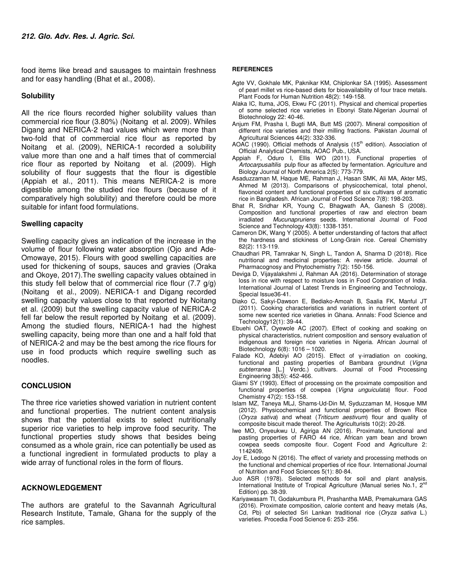food items like bread and sausages to maintain freshness and for easy handling (Bhat et al., 2008).

### **Solubility**

All the rice flours recorded higher solubility values than commercial rice flour (3.80%) (Noitang et al. 2009). Whiles Digang and NERICA-2 had values which were more than two-fold that of commercial rice flour as reported by Noitang et al. (2009), NERICA-1 recorded a solubility value more than one and a half times that of commercial rice flour as reported by Noitang et al. (2009). High solubility of flour suggests that the flour is digestible (Appiah et al., 2011). This means NERICA-2 is more digestible among the studied rice flours (because of it comparatively high solubility) and therefore could be more suitable for infant food formulations.

### **Swelling capacity**

Swelling capacity gives an indication of the increase in the volume of flour following water absorption (Ojo and Ade-Omowaye, 2015). Flours with good swelling capacities are used for thickening of soups, sauces and gravies (Oraka and Okoye, 2017).The swelling capacity values obtained in this study fell below that of commercial rice flour (7.7 g/g) (Noitang et al., 2009). NERICA-1 and Digang recorded swelling capacity values close to that reported by Noitang et al. (2009) but the swelling capacity value of NERICA-2 fell far below the result reported by Noitang et al. (2009). Among the studied flours, NERICA-1 had the highest swelling capacity, being more than one and a half fold that of NERICA-2 and may be the best among the rice flours for use in food products which require swelling such as noodles.

### **CONCLUSION**

The three rice varieties showed variation in nutrient content and functional properties. The nutrient content analysis shows that the potential exists to select nutritionally superior rice varieties to help improve food security. The functional properties study shows that besides being consumed as a whole grain, rice can potentially be used as a functional ingredient in formulated products to play a wide array of functional roles in the form of flours.

### **ACKNOWLEDGEMENT**

The authors are grateful to the Savannah Agricultural Research Institute, Tamale, Ghana for the supply of the rice samples.

### **REFERENCES**

- Agte VV, Gokhale MK, Paknikar KM, Chiplonkar SA (1995). Assessment of pearl millet vs rice-based diets for bioavailability of four trace metals. Plant Foods for Human Nutrition 48(2): 149-158.
- Alaka IC, Ituma, JOS, Ekwu FC (2011). Physical and chemical properties of some selected rice varieties in Ebonyi State.Nigerian Journal of Biotechnology 22: 40-46.
- Anjum FM, Prasha I, Bugti MA, Butt MS (2007). Mineral composition of different rice varieties and their milling fractions. Pakistan Journal of Agricultural Sciences 44(2): 332-336.
- AOAC (1990). Official methods of Analysis (15<sup>th</sup> edition). Association of Official Analytical Chemists, AOAC Pub., USA.
- Appiah F, Oduro I, Ellis WO (2011). Functional properties of Artocarpusaltilis pulp flour as affected by fermentation. Agriculture and Biology Journal of North America 2(5): 773-779.
- Asaduzzaman M, Haque ME, Rahman J, Hasan SMK, Ali MA, Akter MS, Ahmed M (2013). Comparisons of physicochemical, total phenol, flavonoid content and functional properties of six cultivars of aromatic rice in Bangladesh. African Journal of Food Science 7(8): 198-203.
- Bhat R, Sridhar KR, Young C, Bhagwath AA, Ganesh S (2008). Composition and functional properties of raw and electron beam irradiated Mucunapruriens seeds. International Journal of Food Science and Technology 43(8): 1338-1351.
- Cameron DK, Wang Y (2005). A better understanding of factors that affect the hardness and stickiness of Long-Grain rice. Cereal Chemistry 82(2): 113-119.
- Chaudhari PR, Tamrakar N, Singh L, Tandon A, Sharma D (2018). Rice nutritional and medicinal properties: A review article. Journal of Pharmacognosy and Phytochemistry 7(2): 150-156.
- Deviga D, Vijayalakshmi J, Rahman AA (2016). Determination of storage loss in rice with respect to moisture loss in Food Corporation of India. International Journal of Latest Trends in Engineering and Technology, Special Issue36-41.
- Diako C, Sakyi-Dawson E, Bediako-Amoah B, Saalia FK, Manful JT (2011). Cooking characteristics and variations in nutrient content of some new scented rice varieties in Ghana. Annals: Food Science and Technology12(1): 39-44.
- Ebuehi OAT, Oyewole AC (2007). Effect of cooking and soaking on physical characteristics, nutrient composition and sensory evaluation of indigenous and foreign rice varieties in Nigeria. African Journal of Biotechnology 6(8): 1016 – 1020.
- Falade KO, Adebiyi AO (2015). Effect of γ-irradiation on cooking, functional and pasting properties of Bambara groundnut (Vigna subterranea [L.] Verdc.) cultivars. Journal of Food Processing Engineering 38(5): 452-466.
- Giami SY (1993). Effect of processing on the proximate composition and functional properties of cowpea (Vigna unguiculata) flour. Food Chemistry 47(2): 153-158.
- Islam MZ, Taneya MLJ, Shams-Ud-Din M, Syduzzaman M, Hosque MM (2012). Physicochemical and functional properties of Brown Rice (Oryza sativa) and wheat (Triticum aestivum) flour and quality of composite biscuit made thereof. The Agriculturists 10(2): 20-28.
- Iwe MO, Onyeukwu U, Agiriga AN (2016). Proximate, functional and pasting properties of FARO 44 rice, African yam bean and brown cowpea seeds composite flour. Cogent Food and Agriculture 2: 1142409.
- Joy E, Ledogo N (2016). The effect of variety and processing methods on the functional and chemical properties of rice flour. International Journal of Nutrition and Food Sciences 5(1): 80-84.
- Juo ASR (1978). Selected methods for soil and plant analysis. International Institute of Tropical Agriculture (Manual series No.1,  $2^{nc}$ Edition) pp. 38-39.
- Kariyawasam TI, Godakumbura PI, Prashantha MAB, Premakumara GAS (2016). Proximate composition, calorie content and heavy metals (As, Cd, Pb) of selected Sri Lankan traditional rice (Oryza sativa L.) varieties. Procedia Food Science 6: 253- 256.